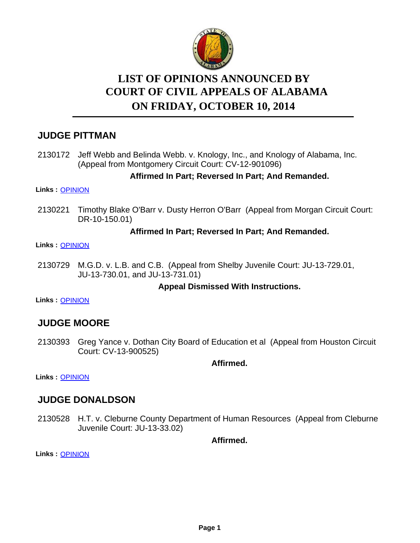

# **LIST OF OPINIONS ANNOUNCED BY ON FRIDAY, OCTOBER 10, 2014 COURT OF CIVIL APPEALS OF ALABAMA**

# **JUDGE PITTMAN**

2130172 Jeff Webb and Belinda Webb. v. Knology, Inc., and Knology of Alabama, Inc. (Appeal from Montgomery Circuit Court: CV-12-901096)

#### **Affirmed In Part; Reversed In Part; And Remanded.**

#### **Links :** [OPINION](https://acis.alabama.gov/displaydocs.cfm?no=612465&event=46L0J94ZW)

2130221 Timothy Blake O'Barr v. Dusty Herron O'Barr (Appeal from Morgan Circuit Court: DR-10-150.01)

#### **Affirmed In Part; Reversed In Part; And Remanded.**

#### **Links :** [OPINION](https://acis.alabama.gov/displaydocs.cfm?no=612466&event=46L0J9A2Q)

M.G.D. v. L.B. and C.B. (Appeal from Shelby Juvenile Court: JU-13-729.01, JU-13-730.01, and JU-13-731.01) 2130729

#### **Appeal Dismissed With Instructions.**

**Links :** [OPINION](https://acis.alabama.gov/displaydocs.cfm?no=612469&event=46L0J9FLN)

# **JUDGE MOORE**

2130393 Greg Yance v. Dothan City Board of Education et al (Appeal from Houston Circuit Court: CV-13-900525)

**Affirmed.**

**Links :** [OPINION](https://acis.alabama.gov/displaydocs.cfm?no=612467&event=46L0J9CJ5)

### **JUDGE DONALDSON**

2130528 H.T. v. Cleburne County Department of Human Resources (Appeal from Cleburne Juvenile Court: JU-13-33.02)

**Affirmed.**

**Links :** [OPINION](https://acis.alabama.gov/displaydocs.cfm?no=612468&event=46L0J9EDW)